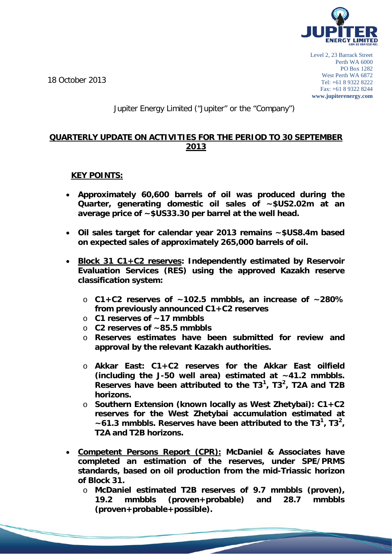

18 October 2013

# Jupiter Energy Limited ("Jupiter" or the "Company")

### **QUARTERLY UPDATE ON ACTIVITIES FOR THE PERIOD TO 30 SEPTEMBER 2013**

# **KEY POINTS:**

- **Approximately 60,600 barrels of oil was produced during the Quarter, generating domestic oil sales of ~\$US2.02m at an average price of ~\$US33.30 per barrel at the well head.**
- **Oil sales target for calendar year 2013 remains ~\$US8.4m based on expected sales of approximately 265,000 barrels of oil.**
- **Block 31 C1+C2 reserves: Independently estimated by Reservoir Evaluation Services (RES) using the approved Kazakh reserve classification system:**
	- o **C1+C2 reserves of ~102.5 mmbbls, an increase of ~280% from previously announced C1+C2 reserves**
	- o **C1 reserves of ~17 mmbbls**
	- o **C2 reserves of ~85.5 mmbbls**
	- o **Reserves estimates have been submitted for review and approval by the relevant Kazakh authorities.**
	- o **Akkar East: C1+C2 reserves for the Akkar East oilfield (including the J-50 well area) estimated at ~41.2 mmbbls. Reserves have been attributed to the T3<sup>1</sup> , T3<sup>2</sup> , T2A and T2B horizons.**
	- o **Southern Extension (known locally as West Zhetybai): C1+C2 reserves for the West Zhetybai accumulation estimated at ~61.3 mmbbls. Reserves have been attributed to the T31 , T3<sup>2</sup> , T2A and T2B horizons.**
- **Competent Persons Report (CPR): McDaniel & Associates have completed an estimation of the reserves, under SPE/PRMS standards, based on oil production from the mid-Triassic horizon of Block 31.**
	- o **McDaniel estimated T2B reserves of 9.7 mmbbls (proven),**  (proven+probable) **(proven+probable+possible).**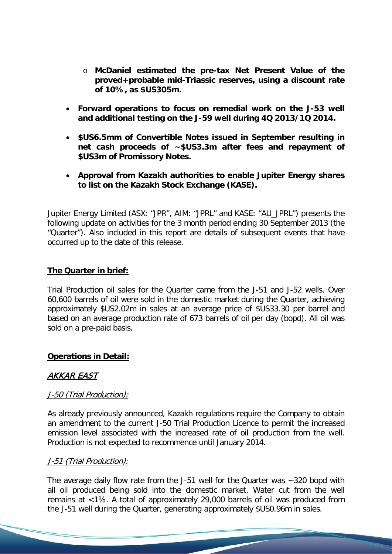- o **McDaniel estimated the pre-tax Net Present Value of the proved+probable mid-Triassic reserves, using a discount rate of 10%, as \$US305m.**
- **Forward operations to focus on remedial work on the J-53 well and additional testing on the J-59 well during 4Q 2013/1Q 2014.**
- **\$US6.5mm of Convertible Notes issued in September resulting in net cash proceeds of ~\$US3.3m after fees and repayment of \$US3m of Promissory Notes.**
- **Approval from Kazakh authorities to enable Jupiter Energy shares to list on the Kazakh Stock Exchange (KASE).**

Jupiter Energy Limited (ASX: "JPR", AIM: "JPRL" and KASE: "AU\_JPRL") presents the following update on activities for the 3 month period ending 30 September 2013 (the "Quarter"). Also included in this report are details of subsequent events that have occurred up to the date of this release.

# **The Quarter in brief:**

Trial Production oil sales for the Quarter came from the J-51 and J-52 wells. Over 60,600 barrels of oil were sold in the domestic market during the Quarter, achieving approximately \$US2.02m in sales at an average price of \$US33.30 per barrel and based on an average production rate of 673 barrels of oil per day (bopd). All oil was sold on a pre-paid basis.

# **Operations in Detail:**

# AKKAR EAST

# J-50 (Trial Production):

As already previously announced, Kazakh regulations require the Company to obtain an amendment to the current J-50 Trial Production Licence to permit the increased emission level associated with the increased rate of oil production from the well. Production is not expected to recommence until January 2014.

### J-51 (Trial Production):

The average daily flow rate from the J-51 well for the Quarter was ~320 bopd with all oil produced being sold into the domestic market. Water cut from the well remains at <1%. A total of approximately 29,000 barrels of oil was produced from the J-51 well during the Quarter, generating approximately \$US0.96m in sales.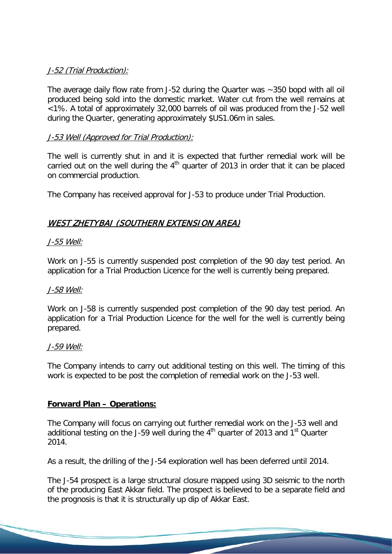# J-52 (Trial Production):

The average daily flow rate from J-52 during the Quarter was ~350 bopd with all oil produced being sold into the domestic market. Water cut from the well remains at <1%. A total of approximately 32,000 barrels of oil was produced from the J-52 well during the Quarter, generating approximately \$US1.06m in sales.

# J-53 Well (Approved for Trial Production):

The well is currently shut in and it is expected that further remedial work will be carried out on the well during the  $4<sup>th</sup>$  quarter of 2013 in order that it can be placed on commercial production.

The Company has received approval for J-53 to produce under Trial Production.

# WEST ZHETYBAI (SOUTHERN EXTENSION AREA)

# J-55 Well:

Work on J-55 is currently suspended post completion of the 90 day test period. An application for a Trial Production Licence for the well is currently being prepared.

### J-58 Well:

Work on J-58 is currently suspended post completion of the 90 day test period. An application for a Trial Production Licence for the well for the well is currently being prepared.

### J-59 Well:

The Company intends to carry out additional testing on this well. The timing of this work is expected to be post the completion of remedial work on the J-53 well.

### **Forward Plan – Operations:**

The Company will focus on carrying out further remedial work on the J-53 well and additional testing on the J-59 well during the  $4<sup>th</sup>$  quarter of 2013 and 1<sup>st</sup> Quarter 2014.

As a result, the drilling of the J-54 exploration well has been deferred until 2014.

The J-54 prospect is a large structural closure mapped using 3D seismic to the north of the producing East Akkar field. The prospect is believed to be a separate field and the prognosis is that it is structurally up dip of Akkar East.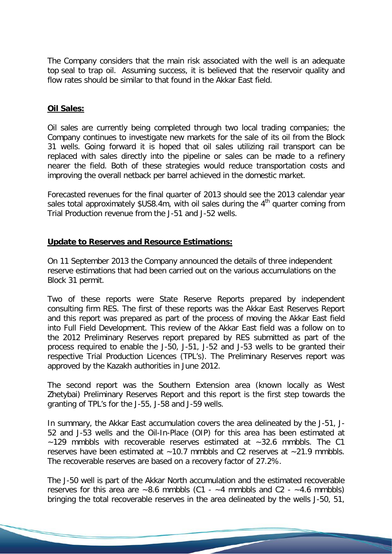The Company considers that the main risk associated with the well is an adequate top seal to trap oil. Assuming success, it is believed that the reservoir quality and flow rates should be similar to that found in the Akkar East field.

# **Oil Sales:**

Oil sales are currently being completed through two local trading companies; the Company continues to investigate new markets for the sale of its oil from the Block 31 wells. Going forward it is hoped that oil sales utilizing rail transport can be replaced with sales directly into the pipeline or sales can be made to a refinery nearer the field. Both of these strategies would reduce transportation costs and improving the overall netback per barrel achieved in the domestic market.

Forecasted revenues for the final quarter of 2013 should see the 2013 calendar year sales total approximately  $$US8.4m$ , with oil sales during the  $4<sup>th</sup>$  quarter coming from Trial Production revenue from the J-51 and J-52 wells.

# **Update to Reserves and Resource Estimations:**

On 11 September 2013 the Company announced the details of three independent reserve estimations that had been carried out on the various accumulations on the Block 31 permit.

Two of these reports were State Reserve Reports prepared by independent consulting firm RES. The first of these reports was the Akkar East Reserves Report and this report was prepared as part of the process of moving the Akkar East field into Full Field Development. This review of the Akkar East field was a follow on to the 2012 Preliminary Reserves report prepared by RES submitted as part of the process required to enable the J-50, J-51, J-52 and J-53 wells to be granted their respective Trial Production Licences (TPL's). The Preliminary Reserves report was approved by the Kazakh authorities in June 2012.

The second report was the Southern Extension area (known locally as West Zhetybai) Preliminary Reserves Report and this report is the first step towards the granting of TPL's for the J-55, J-58 and J-59 wells.

In summary, the Akkar East accumulation covers the area delineated by the J-51, J-52 and J-53 wells and the Oil-In-Place (OIP) for this area has been estimated at  $~129$  mmbbls with recoverable reserves estimated at  $~129$ . mmbbls. The C1 reserves have been estimated at  $~10.7$  mmbbls and C2 reserves at  $~21.9$  mmbbls. The recoverable reserves are based on a recovery factor of 27.2%.

The J-50 well is part of the Akkar North accumulation and the estimated recoverable reserves for this area are  $\sim 8.6$  mmbbls (C1 -  $\sim 4$  mmbbls and C2 -  $\sim 4.6$  mmbbls) bringing the total recoverable reserves in the area delineated by the wells J-50, 51,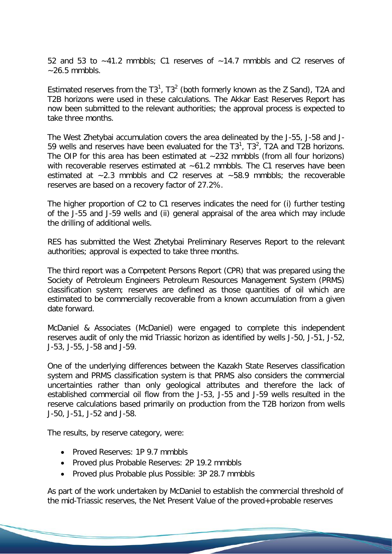52 and 53 to ~41.2 mmbbls; C1 reserves of ~14.7 mmbbls and C2 reserves of  $\sim$  26.5 mmbbls.

Estimated reserves from the  $T3^1$ ,  $T3^2$  (both formerly known as the Z Sand), T2A and T2B horizons were used in these calculations. The Akkar East Reserves Report has now been submitted to the relevant authorities; the approval process is expected to take three months.

The West Zhetybai accumulation covers the area delineated by the J-55, J-58 and J-59 wells and reserves have been evaluated for the  $T3<sup>1</sup>$ ,  $T3<sup>2</sup>$ ,  $T2A$  and T2B horizons. The OIP for this area has been estimated at  $\sim$ 232 mmbbls (from all four horizons) with recoverable reserves estimated at ~61.2 mmbbls. The C1 reserves have been estimated at ~2.3 mmbbls and C2 reserves at ~58.9 mmbbls; the recoverable reserves are based on a recovery factor of 27.2%.

The higher proportion of C2 to C1 reserves indicates the need for (i) further testing of the J-55 and J-59 wells and (ii) general appraisal of the area which may include the drilling of additional wells.

RES has submitted the West Zhetybai Preliminary Reserves Report to the relevant authorities; approval is expected to take three months.

The third report was a Competent Persons Report (CPR) that was prepared using the Society of Petroleum Engineers Petroleum Resources Management System (PRMS) classification system; reserves are defined as those quantities of oil which are estimated to be commercially recoverable from a known accumulation from a given date forward.

McDaniel & Associates (McDaniel) were engaged to complete this independent reserves audit of only the mid Triassic horizon as identified by wells J-50, J-51, J-52, J-53, J-55, J-58 and J-59.

One of the underlying differences between the Kazakh State Reserves classification system and PRMS classification system is that PRMS also considers the commercial uncertainties rather than only geological attributes and therefore the lack of established commercial oil flow from the J-53, J-55 and J-59 wells resulted in the reserve calculations based primarily on production from the T2B horizon from wells J-50, J-51, J-52 and J-58.

The results, by reserve category, were:

- Proved Reserves: 1P 9.7 mmbbls
- Proved plus Probable Reserves: 2P 19.2 mmbbls
- Proved plus Probable plus Possible: 3P 28.7 mmbbls

As part of the work undertaken by McDaniel to establish the commercial threshold of the mid-Triassic reserves, the Net Present Value of the proved+probable reserves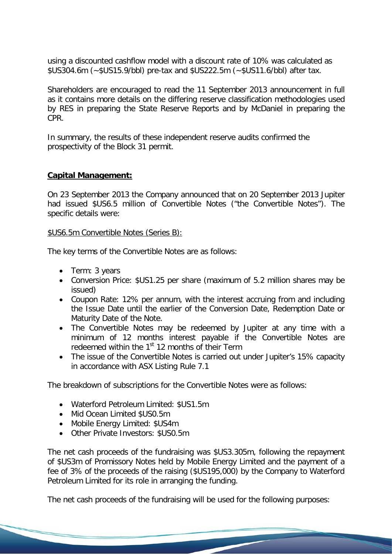using a discounted cashflow model with a discount rate of 10% was calculated as \$US304.6m (~\$US15.9/bbl) pre-tax and \$US222.5m (~\$US11.6/bbl) after tax.

Shareholders are encouraged to read the 11 September 2013 announcement in full as it contains more details on the differing reserve classification methodologies used by RES in preparing the State Reserve Reports and by McDaniel in preparing the CPR.

In summary, the results of these independent reserve audits confirmed the prospectivity of the Block 31 permit.

# **Capital Management:**

On 23 September 2013 the Company announced that on 20 September 2013 Jupiter had issued \$US6.5 million of Convertible Notes ("the Convertible Notes"). The specific details were:

#### \$US6.5m Convertible Notes (Series B):

The key terms of the Convertible Notes are as follows:

- Term: 3 years
- Conversion Price: \$US1.25 per share (maximum of 5.2 million shares may be issued)
- Coupon Rate: 12% per annum, with the interest accruing from and including the Issue Date until the earlier of the Conversion Date, Redemption Date or Maturity Date of the Note.
- The Convertible Notes may be redeemed by Jupiter at any time with a minimum of 12 months interest payable if the Convertible Notes are redeemed within the 1<sup>st</sup> 12 months of their Term
- The issue of the Convertible Notes is carried out under Jupiter's 15% capacity in accordance with ASX Listing Rule 7.1

The breakdown of subscriptions for the Convertible Notes were as follows:

- Waterford Petroleum Limited: \$US1.5m
- Mid Ocean Limited \$US0.5m
- Mobile Energy Limited: \$US4m
- Other Private Investors: \$US0.5m

The net cash proceeds of the fundraising was \$US3.305m, following the repayment of \$US3m of Promissory Notes held by Mobile Energy Limited and the payment of a fee of 3% of the proceeds of the raising (\$US195,000) by the Company to Waterford Petroleum Limited for its role in arranging the funding.

The net cash proceeds of the fundraising will be used for the following purposes: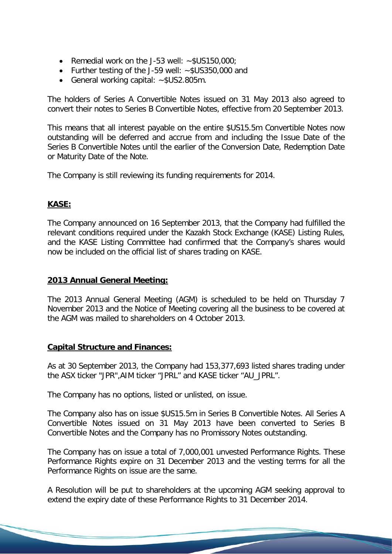- Remedial work on the J-53 well: ~\$US150,000;
- Further testing of the J-59 well: ~\$US350,000 and
- General working capital: ~\$US2.805m.

The holders of Series A Convertible Notes issued on 31 May 2013 also agreed to convert their notes to Series B Convertible Notes, effective from 20 September 2013.

This means that all interest payable on the entire \$US15.5m Convertible Notes now outstanding will be deferred and accrue from and including the Issue Date of the Series B Convertible Notes until the earlier of the Conversion Date, Redemption Date or Maturity Date of the Note.

The Company is still reviewing its funding requirements for 2014.

# **KASE:**

The Company announced on 16 September 2013, that the Company had fulfilled the relevant conditions required under the Kazakh Stock Exchange (KASE) Listing Rules, and the KASE Listing Committee had confirmed that the Company's shares would now be included on the official list of shares trading on KASE.

### **2013 Annual General Meeting:**

The 2013 Annual General Meeting (AGM) is scheduled to be held on Thursday 7 November 2013 and the Notice of Meeting covering all the business to be covered at the AGM was mailed to shareholders on 4 October 2013.

### **Capital Structure and Finances:**

As at 30 September 2013, the Company had 153,377,693 listed shares trading under the ASX ticker "JPR",AIM ticker "JPRL" and KASE ticker "AU\_JPRL".

The Company has no options, listed or unlisted, on issue.

The Company also has on issue \$US15.5m in Series B Convertible Notes. All Series A Convertible Notes issued on 31 May 2013 have been converted to Series B Convertible Notes and the Company has no Promissory Notes outstanding.

The Company has on issue a total of 7,000,001 unvested Performance Rights. These Performance Rights expire on 31 December 2013 and the vesting terms for all the Performance Rights on issue are the same.

A Resolution will be put to shareholders at the upcoming AGM seeking approval to extend the expiry date of these Performance Rights to 31 December 2014.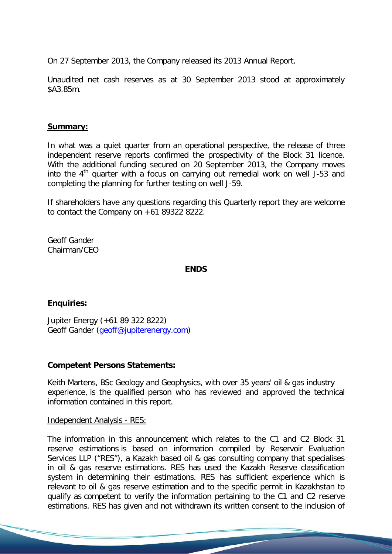On 27 September 2013, the Company released its 2013 Annual Report.

Unaudited net cash reserves as at 30 September 2013 stood at approximately \$A3.85m.

### **Summary:**

In what was a quiet quarter from an operational perspective, the release of three independent reserve reports confirmed the prospectivity of the Block 31 licence. With the additional funding secured on 20 September 2013, the Company moves into the  $4<sup>th</sup>$  quarter with a focus on carrying out remedial work on well J-53 and completing the planning for further testing on well J-59.

If shareholders have any questions regarding this Quarterly report they are welcome to contact the Company on +61 89322 8222.

Geoff Gander Chairman/CEO

#### **ENDS**

#### **Enquiries:**

Jupiter Energy (+61 89 322 8222) Geoff Gander [\(geoff@jupiterenergy.com\)](mailto:geoff@jupiterenergy.com)

#### **Competent Persons Statements:**

Keith Martens, BSc Geology and Geophysics, with over 35 years' oil & gas industry experience, is the qualified person who has reviewed and approved the technical information contained in this report.

#### Independent Analysis - RES:

The information in this announcement which relates to the C1 and C2 Block 31 reserve estimations is based on information compiled by Reservoir Evaluation Services LLP ("RES"), a Kazakh based oil & gas consulting company that specialises in oil & gas reserve estimations. RES has used the Kazakh Reserve classification system in determining their estimations. RES has sufficient experience which is relevant to oil & gas reserve estimation and to the specific permit in Kazakhstan to qualify as competent to verify the information pertaining to the C1 and C2 reserve estimations. RES has given and not withdrawn its written consent to the inclusion of